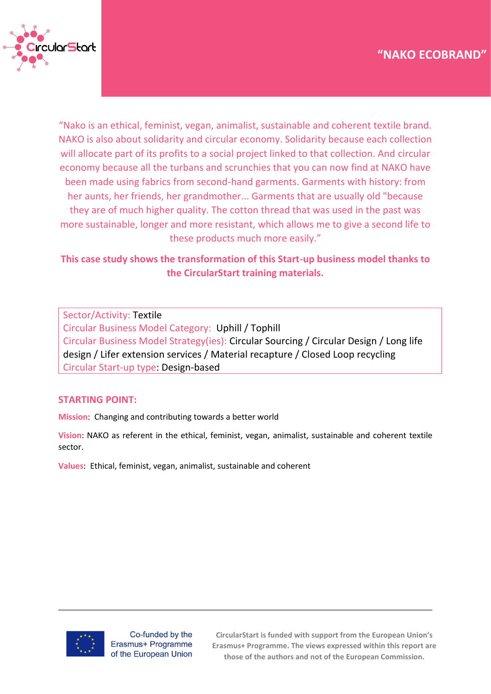

"Nako is an ethical, feminist, vegan, animalist, sustainable and coherent textile brand. NAKO is also about solidarity and circular economy. Solidarity because each collection will allocate part of its profits to a social project linked to that collection. And circular economy because all the turbans and scrunchies that you can now find at NAKO have been made using fabrics from second-hand garments. Garments with history: from her aunts, her friends, her grandmother... Garments that are usually old "because they are of much higher quality. The cotton thread that was used in the past was more sustainable, longer and more resistant, which allows me to give a second life to these products much more easily."

# **This case study shows the transformation of this Start-up business model thanks to the CircularStart training materials.**

Sector/Activity: Textile Circular Business Model Category: Uphill / Tophill Circular Business Model Strategy(ies): Circular Sourcing / Circular Design / Long life design / Lifer extension services / Material recapture / Closed Loop recycling Circular Start-up type: Design-based

### **STARTING POINT:**

**Mission**: Changing and contributing towards a better world

**Vision**: NAKO as referent in the ethical, feminist, vegan, animalist, sustainable and coherent textile sector.

**Values**: Ethical, feminist, vegan, animalist, sustainable and coherent



Co-funded by the Erasmus+ Programme of the European Union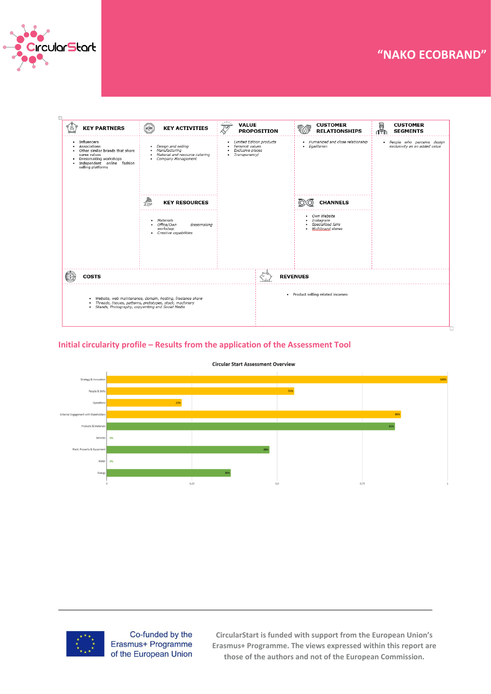

# **Case Study – "Title" "NAKO ECOBRAND"**

| <b>KEY PARTNERS</b>                                                                                                                                                                     | HORK<br><b>KEY ACTIVITIES</b>                                                                                                        | <b>VALUE</b><br>प्रण                                                              | <b>PROPOSITION</b>                           | <b>CUSTOMER</b><br><b>RELATIONSHIPS</b>                                  | U<br><b>CUSTOMER</b><br>∩ัฑิ<br><b>SEGMENTS</b>               |  |
|-----------------------------------------------------------------------------------------------------------------------------------------------------------------------------------------|--------------------------------------------------------------------------------------------------------------------------------------|-----------------------------------------------------------------------------------|----------------------------------------------|--------------------------------------------------------------------------|---------------------------------------------------------------|--|
| • Influencers<br>Associations<br>• Other similar brands that share<br>same values<br>· Dressmaking workshops<br>Independent online fashion<br>٠<br>selling platforms                    | Design and selling<br>$\bullet$<br>Manufacturing<br>$\bullet$<br>Material and resource catering<br>$\bullet$<br>• Company Management | Limited Edition products<br>Feminist values<br>Exclusive pieces<br>• Transparency |                                              | · Humanized and close relationship<br>· Egalitarian                      | · People who perceive design<br>exclusivity as an added value |  |
|                                                                                                                                                                                         | 零<br><b>KEY RESOURCES</b>                                                                                                            |                                                                                   |                                              | <b>CHANNELS</b>                                                          |                                                               |  |
|                                                                                                                                                                                         | · Materials<br>• Office/Own<br>dressmaking<br>workshop<br>• Creative capabilities                                                    |                                                                                   |                                              | • Own Website<br>· Instagram<br>Specialized fairs<br>· Multiprand stores |                                                               |  |
|                                                                                                                                                                                         |                                                                                                                                      |                                                                                   |                                              |                                                                          |                                                               |  |
| <b>COSTS</b>                                                                                                                                                                            |                                                                                                                                      |                                                                                   | <b>REVENUES</b>                              |                                                                          |                                                               |  |
| · Website, web maintenance, domain, hosting, freelance share<br>Threads, tissues, patterns, prototypes, stock, machinery<br>٠<br>Stands, Photography, copywriting and Social Media<br>٠ |                                                                                                                                      |                                                                                   | Product selling related incomes<br>$\bullet$ |                                                                          |                                                               |  |

#### **Initial circularity profile – Results from the application of the Assessment Tool**



**Circular Start Assessment Overview** 



Co-funded by the Erasmus+ Programme of the European Union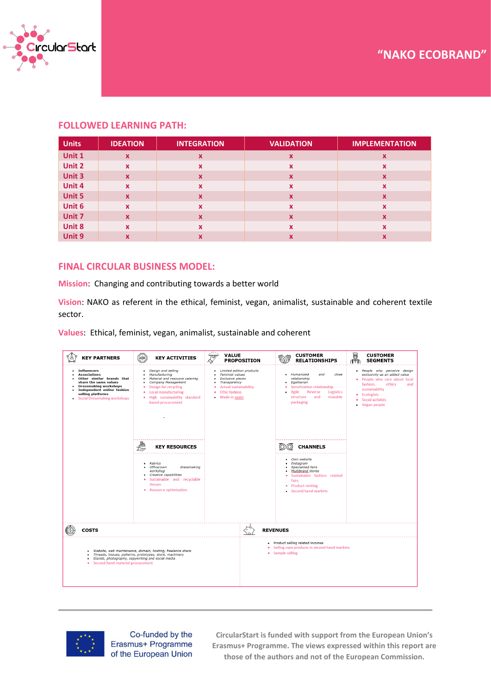

#### **FOLLOWED LEARNING PATH:**

| <b>Units</b> | <b>IDEATION</b> | <b>INTEGRATION</b>        | <b>VALIDATION</b>         | <b>IMPLEMENTATION</b> |
|--------------|-----------------|---------------------------|---------------------------|-----------------------|
| Unit 1       | $\mathbf{x}$    | $\boldsymbol{\mathsf{x}}$ | $\boldsymbol{\mathsf{x}}$ | x                     |
| Unit 2       | $\mathbf{x}$    | $\boldsymbol{\mathsf{x}}$ | $\boldsymbol{\mathsf{x}}$ | x                     |
| Unit 3       | $\mathbf{x}$    | $\boldsymbol{x}$          | $\boldsymbol{\mathsf{x}}$ | X                     |
| Unit 4       | $\mathbf{x}$    | X                         | $\boldsymbol{\mathsf{x}}$ | x                     |
| Unit 5       | $\mathbf{x}$    | $\boldsymbol{\mathsf{x}}$ | $\boldsymbol{\mathsf{x}}$ | X                     |
| Unit 6       | $\mathbf{x}$    | X                         | X                         | x                     |
| Unit 7       | $\mathbf{x}$    | $\boldsymbol{\mathsf{x}}$ | $\boldsymbol{\mathsf{x}}$ | $\mathbf x$           |
| Unit 8       | $\mathbf{x}$    | X                         | X                         | x                     |
| Unit 9       | $\mathbf x$     | x                         | X                         | x                     |

#### **FINAL CIRCULAR BUSINESS MODEL:**

**Mission**: Changing and contributing towards a better world

**Vision**: NAKO as referent in the ethical, feminist, vegan, animalist, sustainable and coherent textile sector.

**Values**: Ethical, feminist, vegan, animalist, sustainable and coherent





Co-funded by the Erasmus+ Programme of the European Union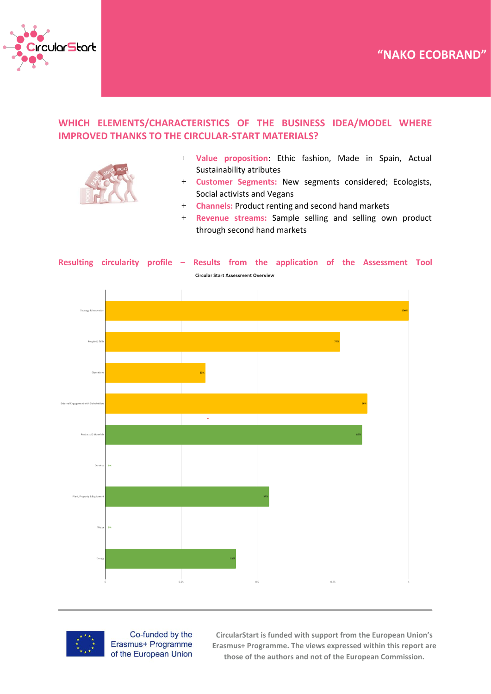



## **WHICH ELEMENTS/CHARACTERISTICS OF THE BUSINESS IDEA/MODEL WHERE IMPROVED THANKS TO THE CIRCULAR-START MATERIALS?**



- + **Value proposition**: Ethic fashion, Made in Spain, Actual Sustainability atributes
- + **Customer Segments:** New segments considered; Ecologists, Social activists and Vegans
- + **Channels:** Product renting and second hand markets
- + **Revenue streams:** Sample selling and selling own product through second hand markets





Co-funded by the Erasmus+ Programme of the European Union